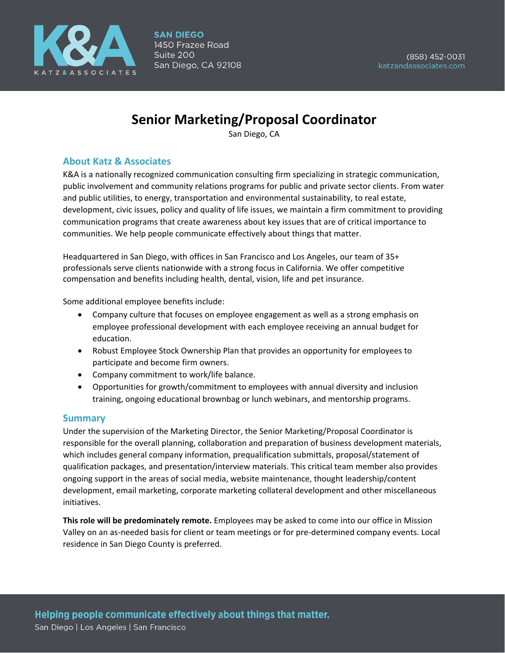

# **Senior Marketing/Proposal Coordinator**

San Diego, CA

## **About Katz & Associates**

K&A is a nationally recognized communication consulting firm specializing in strategic communication, public involvement and community relations programs for public and private sector clients. From water and public utilities, to energy, transportation and environmental sustainability, to real estate, development, civic issues, policy and quality of life issues, we maintain a firm commitment to providing communication programs that create awareness about key issues that are of critical importance to communities. We help people communicate effectively about things that matter.

Headquartered in San Diego, with offices in San Francisco and Los Angeles, our team of 35+ professionals serve clients nationwide with a strong focus in California. We offer competitive compensation and benefits including health, dental, vision, life and pet insurance.

Some additional employee benefits include:

- Company culture that focuses on employee engagement as well as a strong emphasis on employee professional development with each employee receiving an annual budget for education.
- Robust Employee Stock Ownership Plan that provides an opportunity for employees to participate and become firm owners.
- Company commitment to work/life balance.
- Opportunities for growth/commitment to employees with annual diversity and inclusion training, ongoing educational brownbag or lunch webinars, and mentorship programs.

#### **Summary**

Under the supervision of the Marketing Director, the Senior Marketing/Proposal Coordinator is responsible for the overall planning, collaboration and preparation of business development materials, which includes general company information, prequalification submittals, proposal/statement of qualification packages, and presentation/interview materials. This critical team member also provides ongoing support in the areas of social media, website maintenance, thought leadership/content development, email marketing, corporate marketing collateral development and other miscellaneous initiatives.

**This role will be predominately remote.** Employees may be asked to come into our office in Mission Valley on an as-needed basis for client or team meetings or for pre-determined company events. Local residence in San Diego County is preferred.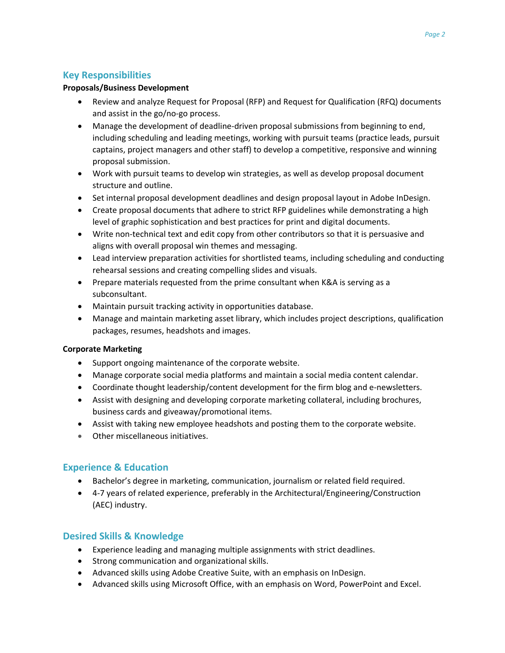# **Key Responsibilities**

#### **Proposals/Business Development**

- Review and analyze Request for Proposal (RFP) and Request for Qualification (RFQ) documents and assist in the go/no-go process.
- Manage the development of deadline-driven proposal submissions from beginning to end, including scheduling and leading meetings, working with pursuit teams (practice leads, pursuit captains, project managers and other staff) to develop a competitive, responsive and winning proposal submission.
- Work with pursuit teams to develop win strategies, as well as develop proposal document structure and outline.
- Set internal proposal development deadlines and design proposal layout in Adobe InDesign.
- Create proposal documents that adhere to strict RFP guidelines while demonstrating a high level of graphic sophistication and best practices for print and digital documents.
- Write non-technical text and edit copy from other contributors so that it is persuasive and aligns with overall proposal win themes and messaging.
- Lead interview preparation activities for shortlisted teams, including scheduling and conducting rehearsal sessions and creating compelling slides and visuals.
- Prepare materials requested from the prime consultant when K&A is serving as a subconsultant.
- Maintain pursuit tracking activity in opportunities database.
- Manage and maintain marketing asset library, which includes project descriptions, qualification packages, resumes, headshots and images.

#### **Corporate Marketing**

- Support ongoing maintenance of the corporate website.
- Manage corporate social media platforms and maintain a social media content calendar.
- Coordinate thought leadership/content development for the firm blog and e-newsletters.
- Assist with designing and developing corporate marketing collateral, including brochures, business cards and giveaway/promotional items.
- Assist with taking new employee headshots and posting them to the corporate website.
- Other miscellaneous initiatives.

# **Experience & Education**

- Bachelor's degree in marketing, communication, journalism or related field required.
- 4-7 years of related experience, preferably in the Architectural/Engineering/Construction (AEC) industry.

# **Desired Skills & Knowledge**

- Experience leading and managing multiple assignments with strict deadlines.
- Strong communication and organizational skills.
- Advanced skills using Adobe Creative Suite, with an emphasis on InDesign.
- Advanced skills using Microsoft Office, with an emphasis on Word, PowerPoint and Excel.